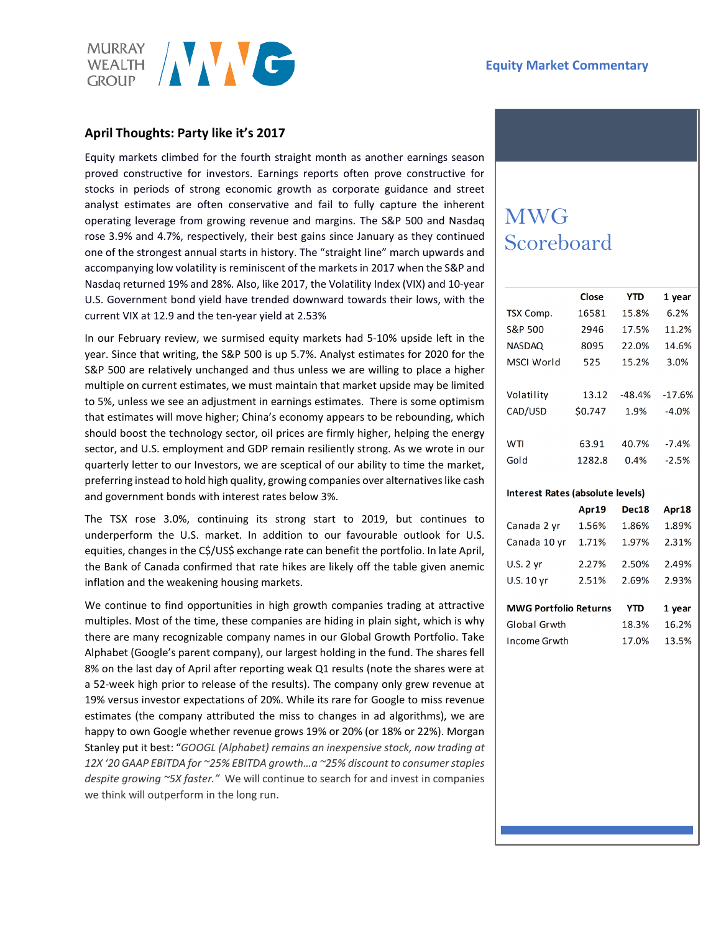

## **April Thoughts: Party like it's 2017**

Equity markets climbed for the fourth straight month as another earnings season proved constructive for investors. Earnings reports often prove constructive for stocks in periods of strong economic growth as corporate guidance and street analyst estimates are often conservative and fail to fully capture the inherent operating leverage from growing revenue and margins. The S&P 500 and Nasdaq rose 3.9% and 4.7%, respectively, their best gains since January as they continued one of the strongest annual starts in history. The "straight line" march upwards and accompanying low volatility is reminiscent of the markets in 2017 when the S&P and Nasdaq returned 19% and 28%. Also, like 2017, the Volatility Index (VIX) and 10-year U.S. Government bond yield have trended downward towards their lows, with the current VIX at 12.9 and the ten-year yield at 2.53%

In our February review, we surmised equity markets had 5-10% upside left in the year. Since that writing, the S&P 500 is up 5.7%. Analyst estimates for 2020 for the S&P 500 are relatively unchanged and thus unless we are willing to place a higher multiple on current estimates, we must maintain that market upside may be limited to 5%, unless we see an adjustment in earnings estimates. There is some optimism that estimates will move higher; China's economy appears to be rebounding, which should boost the technology sector, oil prices are firmly higher, helping the energy sector, and U.S. employment and GDP remain resiliently strong. As we wrote in our quarterly letter to our Investors, we are sceptical of our ability to time the market, preferring instead to hold high quality, growing companies over alternatives like cash and government bonds with interest rates below 3%.

The TSX rose 3.0%, continuing its strong start to 2019, but continues to underperform the U.S. market. In addition to our favourable outlook for U.S. equities, changes in the C\$/US\$ exchange rate can benefit the portfolio. In late April, the Bank of Canada confirmed that rate hikes are likely off the table given anemic inflation and the weakening housing markets.

We continue to find opportunities in high growth companies trading at attractive multiples. Most of the time, these companies are hiding in plain sight, which is why there are many recognizable company names in our Global Growth Portfolio. Take Alphabet (Google's parent company), our largest holding in the fund. The shares fell 8% on the last day of April after reporting weak Q1 results (note the shares were at a 52-week high prior to release of the results). The company only grew revenue at 19% versus investor expectations of 20%. While its rare for Google to miss revenue estimates (the company attributed the miss to changes in ad algorithms), we are happy to own Google whether revenue grows 19% or 20% (or 18% or 22%). Morgan Stanley put it best: "*GOOGL (Alphabet) remains an inexpensive stock, now trading at 12X '20 GAAP EBITDA for ~25% EBITDA growth…a ~25% discount to consumer staples despite growing ~5X faster."* We will continue to search for and invest in companies we think will outperform in the long run.

# MWG Scoreboard

|               | Close   | <b>YTD</b> | 1 year   |
|---------------|---------|------------|----------|
| TSX Comp.     | 16581   | 15.8%      | 6.2%     |
| S&P 500       | 2946    | 17.5%      | 11.2%    |
| <b>NASDAQ</b> | 8095    | 22.0%      | 14.6%    |
| MSCI World    | 525     | 15.2%      | 3.0%     |
|               |         |            |          |
| Volatility    | 13.12   | -48.4%     | $-17.6%$ |
| CAD/USD       | \$0.747 | 1.9%       | $-4.0%$  |
|               |         |            |          |
| WTI           | 63.91   | 40.7%      | $-7.4%$  |
| Gold          | 1282.8  | 0.4%       | $-2.5%$  |
|               |         |            |          |

#### Interest Rates (absolute levels)

|                              | Apr19 | Dec18 | Apr18  |  |
|------------------------------|-------|-------|--------|--|
| Canada 2 yr                  | 1.56% | 1.86% | 1.89%  |  |
| Canada 10 yr                 | 1.71% | 1.97% | 2.31%  |  |
| U.S. 2 yr                    | 2.27% | 2.50% | 2.49%  |  |
| U.S. $10 \text{ yr}$         | 2.51% | 2.69% | 2.93%  |  |
|                              |       |       |        |  |
| <b>MWG Portfolio Returns</b> |       | YTD   | 1 year |  |
| Global Grwth                 |       | 18.3% | 16.2%  |  |
| Income Grwth                 |       | 17.0% | 13.5%  |  |
|                              |       |       |        |  |